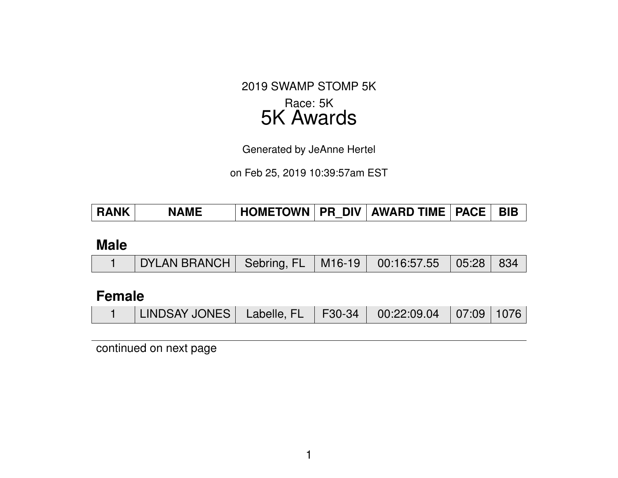#### 2019 SWAMP STOMP 5K

### Race: 5K 5K Awards

Generated by JeAnne Hertel

on Feb 25, 2019 10:39:57am EST

#### **Male**

|  | DYLAN BRANCH   Sebring, FL   M16-19   00:16:57.55   05:28   834 / |  |  |  |  |  |
|--|-------------------------------------------------------------------|--|--|--|--|--|
|--|-------------------------------------------------------------------|--|--|--|--|--|

### **Female**

| LINDSAY JONES   Labelle, FL   F30-34   00:22:09.04   07:09   1076 |  |  |  |  |
|-------------------------------------------------------------------|--|--|--|--|
|-------------------------------------------------------------------|--|--|--|--|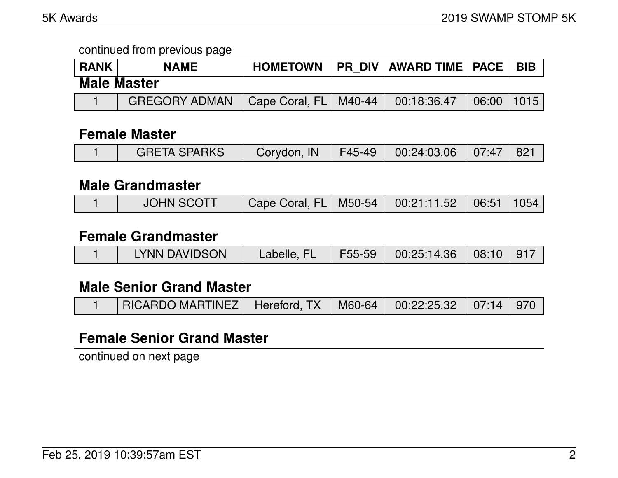| <b>RANK</b> | <b>NAME</b>          | <b>HOMETOWN</b>         | <b>PR DIV AWARD TIME   PACE  </b> |                | <b>BIB</b> |
|-------------|----------------------|-------------------------|-----------------------------------|----------------|------------|
|             | <b>Male Master</b>   |                         |                                   |                |            |
|             | <b>GREGORY ADMAN</b> | Cape Coral, FL   M40-44 | 00:18:36.47                       | $06:00$   1015 |            |

#### **Female Master**

| <b>GRETA SPARKS</b> | Corydon, IN   F45-49   00:24:03.06   07:47   821 |  |  |
|---------------------|--------------------------------------------------|--|--|
|                     |                                                  |  |  |

#### **Male Grandmaster**

|  | <b>JOHN SCOTT</b> | Cape Coral, FL   M50-54   00:21:11.52   06:51   1054 |  |  |  |  |
|--|-------------------|------------------------------------------------------|--|--|--|--|
|--|-------------------|------------------------------------------------------|--|--|--|--|

#### **Female Grandmaster**

|  | LYNN DAVIDSON | Labelle, FL | F55-59 | $\begin{array}{ c c c c c c c c } \hline 00:25:14.36 & 08:10 & 917 \ \hline \end{array}$ |  |  |
|--|---------------|-------------|--------|------------------------------------------------------------------------------------------|--|--|
|--|---------------|-------------|--------|------------------------------------------------------------------------------------------|--|--|

### **Male Senior Grand Master**

| RICARDO MARTINEZ   Hereford, TX   M60-64   00:22:25.32   07:14   970 |  |  |  |  |
|----------------------------------------------------------------------|--|--|--|--|
|----------------------------------------------------------------------|--|--|--|--|

### **Female Senior Grand Master**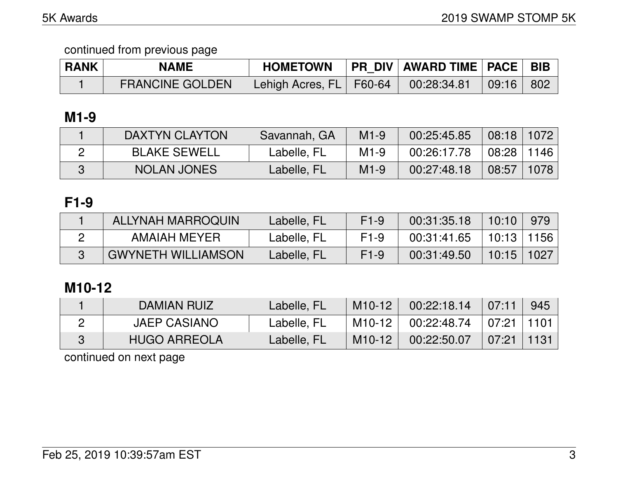| <b>RANK</b> | <b>NAME</b>            | <b>HOMETOWN</b>                          | PR DIV   AWARD TIME   PACE   BIB |       |
|-------------|------------------------|------------------------------------------|----------------------------------|-------|
|             | <b>FRANCINE GOLDEN</b> | <sup>।</sup> Lehigh Acres, FL   F60-64 ∖ | $00:28:34.81$ 09:16              | - 802 |

# **M1-9**

| <b>DAXTYN CLAYTON</b> | Savannah, GA | $M1-9$ | 00:25:45.85 | 08:18 | 1072 |
|-----------------------|--------------|--------|-------------|-------|------|
| <b>BLAKE SEWELL</b>   | Labelle, FL  | $M1-9$ | 00:26:17.78 | 08:28 | 1146 |
| <b>NOLAN JONES</b>    | Labelle, FL  | $M1-9$ | 00:27:48.18 | 08:57 | 1078 |

# **F1-9**

| ALLYNAH MARROQUIN         | Labelle, FL | $F1-9$ | 00:31:35.18 | 10:10 |      |
|---------------------------|-------------|--------|-------------|-------|------|
| AMAIAH MEYER              | Labelle, FL | $F1-9$ | 00:31:41.65 | 10:13 | 1156 |
| <b>GWYNETH WILLIAMSON</b> | Labelle, FL | $F1-9$ | 00:31:49.50 | 10:15 | 1027 |

# **M10-12**

| DAMIAN RUIZ         | Labelle, FL | M <sub>10</sub> -12 | 00:22:18.14 | 07:11    | 945  |
|---------------------|-------------|---------------------|-------------|----------|------|
| <b>JAEP CASIANO</b> | Labelle, FL | M <sub>10</sub> -12 | 00:22:48.74 | $+07:21$ | 1101 |
| <b>HUGO ARREOLA</b> | Labelle, FL | M <sub>10</sub> -12 | 00:22:50.07 | 07:21    |      |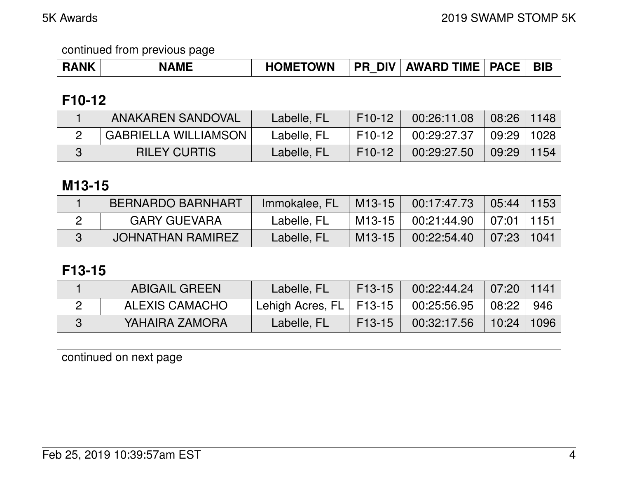| <b>RANK</b> | <b>NAME</b> | <b>HOMETOWN</b> | <b>DIV</b><br><b>PR</b> | <b>AWARD TIME</b> | <b>PACE</b> | <b>BIE</b> |
|-------------|-------------|-----------------|-------------------------|-------------------|-------------|------------|
|-------------|-------------|-----------------|-------------------------|-------------------|-------------|------------|

# **F10-12**

| ANAKAREN SANDOVAL           | Labelle, FL | F <sub>10</sub> -12 | 00:26:11.08 | $08:26$   1148 |      |
|-----------------------------|-------------|---------------------|-------------|----------------|------|
| <b>GABRIELLA WILLIAMSON</b> | Labelle, FL | F10-12              | 00:29:27.37 | ∣ 09:29∣1028   |      |
| <b>RILEY CURTIS</b>         | Labelle, FL | F <sub>10</sub> -12 | 00:29:27.50 | 09:29          | 1154 |

### **M13-15**

| BERNARDO BARNHART   | Immokalee, FL | M13-15   | 00:17:47.73                | 05:44 | 1153 |
|---------------------|---------------|----------|----------------------------|-------|------|
| <b>GARY GUEVARA</b> | Labelle, FL   | $M13-15$ | 00:21:44.90 ∣07:01 ∣1151 ∣ |       |      |
| JOHNATHAN RAMIREZ   | Labelle, FL   | $M13-15$ | 00:22:54.40                | 07:23 | 1041 |

# **F13-15**

| <b>ABIGAIL GREEN</b> | Labelle, FL                 | $F13-15$ | 00:22:44.24 | 07:20 | 1141 |
|----------------------|-----------------------------|----------|-------------|-------|------|
| ALEXIS CAMACHO       | Lehigh Acres, FL   F13-15 \ |          | 00:25:56.95 | 08:22 | 946  |
| YAHAIRA ZAMORA       | Labelle, FL                 | $F13-15$ | 00:32:17.56 | 10:24 | 1096 |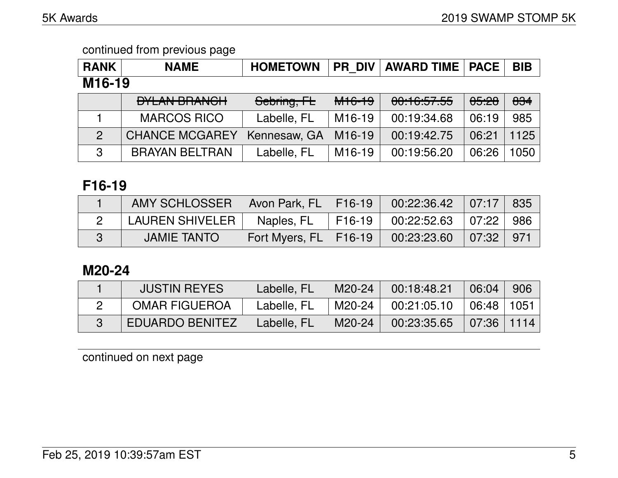| <b>RANK</b>         | <b>NAME</b>           | <b>HOMETOWN</b> | <b>PR DIV</b>       | <b>AWARD TIME   PACE  </b> |                  | <b>BIB</b> |
|---------------------|-----------------------|-----------------|---------------------|----------------------------|------------------|------------|
| M <sub>16</sub> -19 |                       |                 |                     |                            |                  |            |
|                     | <b>DYLAN BRANCH</b>   | Sebring, FL     | M <sub>16-19</sub>  | 00:16:57.55                | <del>05:28</del> | 834        |
|                     | <b>MARCOS RICO</b>    | Labelle, FL     | M <sub>16</sub> -19 | 00:19:34.68                | 06:19            | 985        |
| $\overline{2}$      | <b>CHANCE MCGAREY</b> | Kennesaw, GA    | M <sub>16</sub> -19 | 00:19:42.75                | 06:21            | 1125       |
| 3                   | <b>BRAYAN BELTRAN</b> | Labelle, FL     | M <sub>16</sub> -19 | 00:19:56.20                | 06:26            | 1050       |

## **F16-19**

| AMY SCHLOSSER      | $\vert$ Avon Park, FL $\vert$ F16-19 | $00:22:36.42$ 07:17 835            |           |  |
|--------------------|--------------------------------------|------------------------------------|-----------|--|
| LAUREN SHIVELER    | Naples, FL                           | F16-19   00:22:52.63   07:22   986 |           |  |
| <b>JAMIE TANTO</b> | Fort Myers, FL   F16-19              | 00:23:23.60                        | 07:32 971 |  |

### **M20-24**

| <b>JUSTIN REYES</b>    | Labelle, FL | M20-24 | 00:18:48.21 | 06:04          | 906 |
|------------------------|-------------|--------|-------------|----------------|-----|
| <b>OMAR FIGUEROA</b>   | Labelle, FL | M20-24 | 00:21:05.10 | ∣ 06:48 ∣ 1051 |     |
| <b>EDUARDO BENITEZ</b> | Labelle, FL | M20-24 | 00:23:35.65 | $07:36$   1114 |     |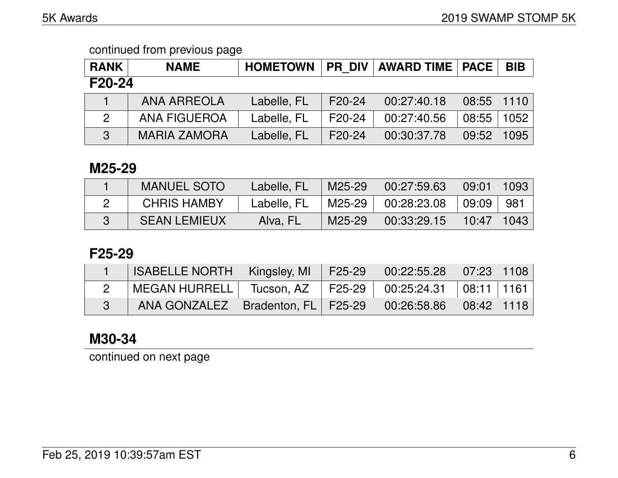| <b>RANK</b>   | <b>NAME</b>         |             |                     | HOMETOWN   PR DIV   AWARD TIME   PACE |                | <b>BIB</b> |  |  |
|---------------|---------------------|-------------|---------------------|---------------------------------------|----------------|------------|--|--|
| F20-24        |                     |             |                     |                                       |                |            |  |  |
|               | <b>ANA ARREOLA</b>  | Labelle, FL | F20-24              | 00:27:40.18                           | $08:55$   1110 |            |  |  |
| $\mathcal{P}$ | <b>ANA FIGUEROA</b> | Labelle, FL | F20-24              | 00:27:40.56                           | 08:55          | 1052       |  |  |
| 3             | <b>MARIA ZAMORA</b> | Labelle, FL | F <sub>20</sub> -24 | 00:30:37.78                           | 09:52          | 1095       |  |  |

#### **M25-29**

| <b>MANUEL SOTO</b>  | Labelle, FL | M25-29    | 00:27:59.63                  | $\vert$ 09:01   1093 |  |
|---------------------|-------------|-----------|------------------------------|----------------------|--|
| <b>CHRIS HAMBY</b>  | Labelle, FL | 'M25-29 I | 100:28:23.08                 | 09:09   981          |  |
| <b>SEAN LEMIEUX</b> | Alva, FL    | M25-29    | $00:33:29.15$   10:47   1043 |                      |  |

### **F25-29**

| <b>ISABELLE NORTH   Kingsley, MI</b>  |            | F25-29 | $\begin{array}{ c c c c c c } \hline 00.22.55.28 & 07.23 & 1108 \hline \end{array}$ |  |
|---------------------------------------|------------|--------|-------------------------------------------------------------------------------------|--|
| MEGAN HURRELL                         | Tucson, AZ |        | 「F25-29   00:25:24.31  08:11  1161                                                  |  |
| ANA GONZALEZ   Bradenton, FL   F25-29 |            |        | $00:26:58.86$ 08:42 1118                                                            |  |

# **M30-34**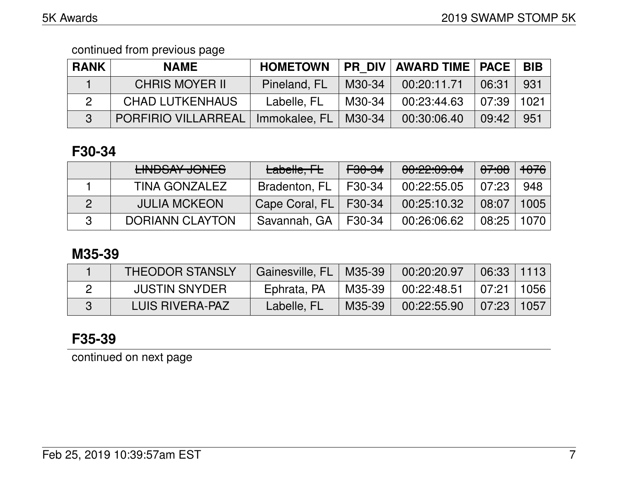| <b>RANK</b> | <b>NAME</b>                                  | <b>HOMETOWN</b> |        | <b>PR DIV   AWARD TIME   PACE  </b> |        | <b>BIB</b> |
|-------------|----------------------------------------------|-----------------|--------|-------------------------------------|--------|------------|
|             | <b>CHRIS MOYER II</b>                        | Pineland, FL    | M30-34 | 00:20:11.71                         | 06:31  | 931        |
|             | <b>CHAD LUTKENHAUS</b>                       | Labelle, FL     | M30-34 | 00:23:44.63                         | 07:39∣ | 1021       |
|             | PORFIRIO VILLARREAL   Immokalee, FL   M30-34 |                 |        | 00:30:06.40                         | 09:42  | 951        |

# **F30-34**

| LINIDOAV JONICO<br><b>LINUUAI UUNLU</b> | Labelle, FL    | <del>F30-34</del> | 00:22:09.04 | <del>07:08</del> | <del>1076</del> |
|-----------------------------------------|----------------|-------------------|-------------|------------------|-----------------|
| TINA GONZALEZ                           | Bradenton, FL  | F30-34            | 00:22:55.05 | 07:23            | 948             |
| <b>JULIA MCKEON</b>                     | Cape Coral, FL | F30-34            | 00:25:10.32 | 08:07            | 1005            |
| <b>DORIANN CLAYTON</b>                  | Savannah, GA   | F30-34            | 00:26:06.62 | 08:25            | 1070 l          |

# **M35-39**

| <b>THEODOR STANSLY</b> | Gainesville, FL   M35-39 |           | 00:20:20.97                                                                            | $\mid$ 06:33 $\mid$ 1113 $\mid$ |  |
|------------------------|--------------------------|-----------|----------------------------------------------------------------------------------------|---------------------------------|--|
| <b>JUSTIN SNYDER</b>   | Ephrata, PA              | 'M35-39 I | $\begin{array}{ c c c c c c c c } \hline \quad 00:22:48.51 & 07:21 & 1056 \end{array}$ |                                 |  |
| LUIS RIVERA-PAZ        | Labelle, FL              | M35-39    | $00:22:55.90$ 07:23 1057                                                               |                                 |  |

# **F35-39**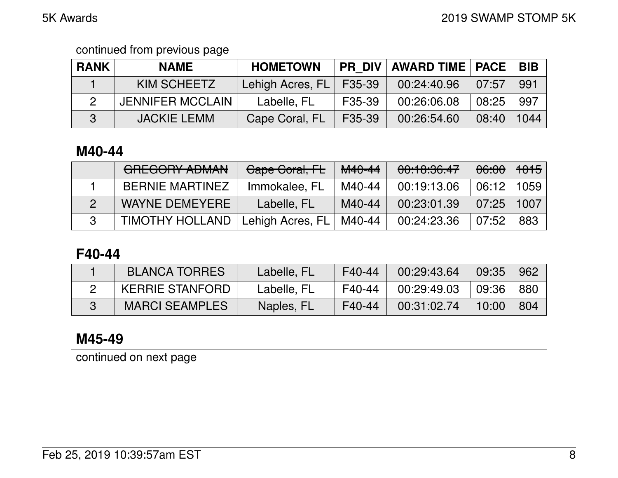| <b>RANK</b> | <b>NAME</b>             | <b>HOMETOWN</b>  |               | <b>PR DIV   AWARD TIME   PACE  </b> |                | <b>BIB</b> |
|-------------|-------------------------|------------------|---------------|-------------------------------------|----------------|------------|
|             | KIM SCHEETZ             | Lehigh Acres, FL | $\mid$ F35-39 | 00:24:40.96                         | 07:57          | 991        |
|             | <b>JENNIFER MCCLAIN</b> | Labelle, FL      | F35-39        | 00:26:06.08                         | 08:25          | 997 .      |
| 3           | <b>JACKIE LEMM</b>      | Cape Coral, FL   | F35-39        | 00:26:54.60                         | $08:40$   1044 |            |

### **M40-44**

| CDECODY ADMANI<br><b>UNLUVIN AUMAN</b> | Gape Goral, FL            | M <sub>40-44</sub> | 00:10:36.47 | <del>06:00</del> | <del>1015</del> |
|----------------------------------------|---------------------------|--------------------|-------------|------------------|-----------------|
| <b>BERNIE MARTINEZ</b>                 | Immokalee, FL             | M40-44             | 00:19:13.06 | 06:12            | 1059            |
| WAYNE DEMEYERE                         | Labelle, FL               | M40-44             | 00:23:01.39 | 07:25            | 1007            |
| <b>TIMOTHY HOLLAND</b>                 | Lehigh Acres, FL   M40-44 |                    | 00:24:23.36 | 07:52            | 883             |

# **F40-44**

| <b>BLANCA TORRES</b> | Labelle, FL | F40-44 | 00:29:43.64 | $\mid$ 09:35      | 962   |
|----------------------|-------------|--------|-------------|-------------------|-------|
| KERRIE STANFORD      | Labelle, FL | F40-44 | 00:29:49.03 | ∣ 09:36 ∣         | ∣ 880 |
| MARCI SEAMPLES       | Naples, FL  | F40-44 | 00:31:02.74 | $\setminus$ 10:00 | 804   |

# **M45-49**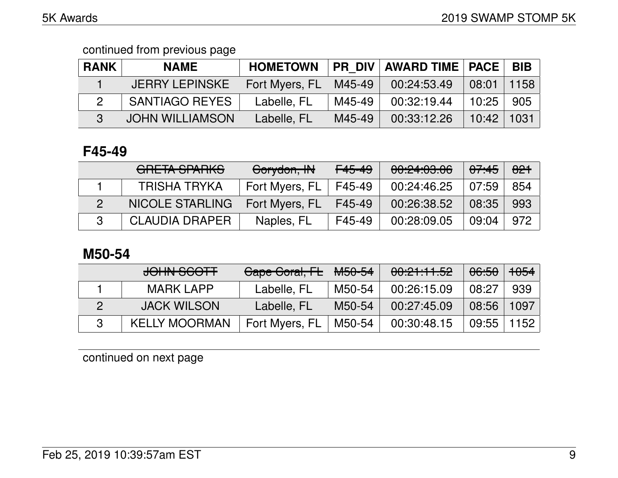| <b>RANK</b> | <b>NAME</b>            | <b>HOMETOWN</b> | <b>PR DIV</b> | <b>AWARD TIME   PACE  </b> |                | <b>BIB</b> |
|-------------|------------------------|-----------------|---------------|----------------------------|----------------|------------|
|             | <b>JERRY LEPINSKE</b>  | Fort Myers, FL  | M45-49        | 00:24:53.49                | $08:01$   1158 |            |
|             | <b>SANTIAGO REYES</b>  | Labelle, FL     | M45-49        | 00:32:19.44                | 10:25          | 905        |
| R           | <b>JOHN WILLIAMSON</b> | Labelle, FL     | M45-49        | 00:33:12.26                | $10:42$   1031 |            |

## **F45-49**

| GRETA SPARKS           | Corydon, IN    | F45-49 | 00:24:03.06 | 07:45 | 821 |
|------------------------|----------------|--------|-------------|-------|-----|
| <b>TRISHA TRYKA</b>    | Fort Myers, FL | F45-49 | 00:24:46.25 | 07:59 | 854 |
| <b>NICOLE STARLING</b> | Fort Myers, FL | F45-49 | 00:26:38.52 | 08:35 | 993 |
| <b>CLAUDIA DRAPER</b>  | Naples, FL     | F45-49 | 00:28:09.05 | 09:04 | 972 |

# **M50-54**

| JOHN SCOTT           | Cape Coral, FL | <del>M50-54</del> | 00:21:11.52 | <del>06:50</del> | <del>1054</del> |
|----------------------|----------------|-------------------|-------------|------------------|-----------------|
| <b>MARK LAPP</b>     | Labelle, FL    | M50-54            | 00:26:15.09 | 08:27            | 939             |
| <b>JACK WILSON</b>   | Labelle, FL    | M50-54            | 00:27:45.09 | 08:56            | 1097            |
| <b>KELLY MOORMAN</b> | Fort Myers, FL | M50-54            | 00:30:48.15 | $09:55$          | 1152            |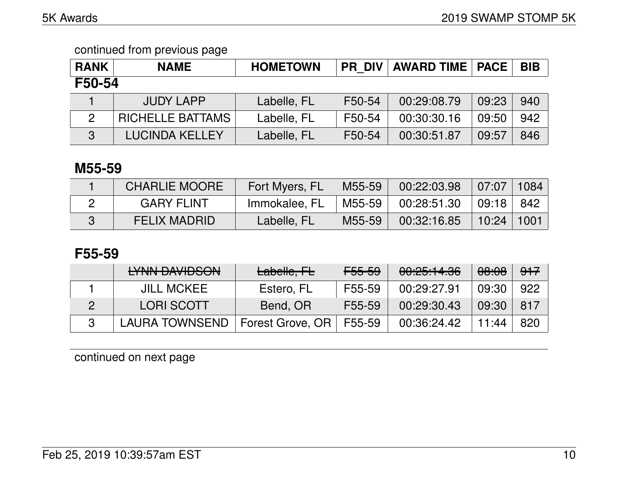| <b>RANK</b>    | <b>NAME</b>             | <b>HOMETOWN</b> | <b>PR DIV</b> | AWARD TIME   PACE |       | <b>BIB</b> |  |  |
|----------------|-------------------------|-----------------|---------------|-------------------|-------|------------|--|--|
| F50-54         |                         |                 |               |                   |       |            |  |  |
|                | <b>JUDY LAPP</b>        | Labelle, FL     | F50-54        | 00:29:08.79       | 09:23 | 940        |  |  |
| $\overline{2}$ | <b>RICHELLE BATTAMS</b> | Labelle, FL     | F50-54        | 00:30:30.16       | 09:50 | 942        |  |  |
| 3              | <b>LUCINDA KELLEY</b>   | Labelle, FL     | F50-54        | 00:30:51.87       | 09:57 | 846        |  |  |

### **M55-59**

| <b>CHARLIE MOORE</b> | Fort Myers, FL | M55-59 | 00:22:03.98 | 07:07          | 1084 |
|----------------------|----------------|--------|-------------|----------------|------|
| <b>GARY FLINT</b>    | Immokalee, FL  | M55-59 | 00:28:51.30 | 09:18          | 842  |
| <b>FELIX MADRID</b>  | Labelle, FL    | M55-59 | 00:32:16.85 | $10:24$   1001 |      |

# **F55-59**

| IVAINI DAVIIDOONI<br><b>LITTIN DAVIDOON</b> | Labelle, FL      | <del>F55-59</del> | 00:25:14.36 | 08:08 | 917 |
|---------------------------------------------|------------------|-------------------|-------------|-------|-----|
| <b>JILL MCKEE</b>                           | Estero, FL       | F55-59            | 00:29:27.91 | 09:30 | 922 |
| <b>LORI SCOTT</b>                           | Bend, OR         | F55-59            | 00:29:30.43 | 09:30 | 817 |
| <b>LAURA TOWNSEND</b>                       | Forest Grove, OR | F55-59            | 00:36:24.42 | 11:44 | 820 |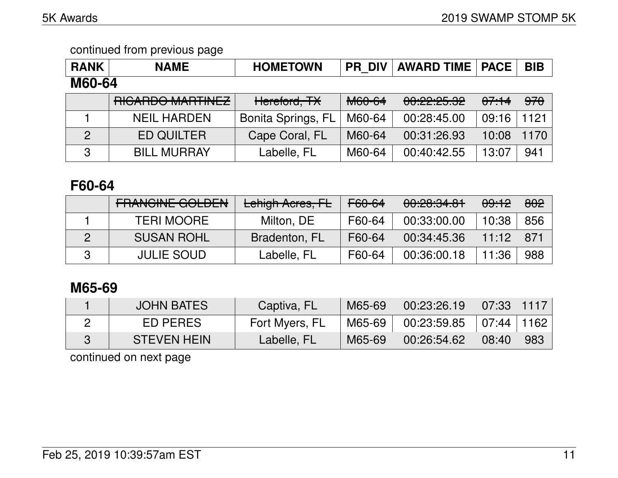| <b>RANK</b>    | <b>NAME</b>        | <b>HOMETOWN</b>           | <b>PR DIV</b> | <b>AWARD TIME</b> | <b>PACE</b> | <b>BIB</b> |  |  |
|----------------|--------------------|---------------------------|---------------|-------------------|-------------|------------|--|--|
| M60-64         |                    |                           |               |                   |             |            |  |  |
|                | RICARDO MARTINEZ   | Hereford, TX              | M60-64        | 00:22:25.32       | 07.14       | 970        |  |  |
|                | <b>NEIL HARDEN</b> | <b>Bonita Springs, FL</b> | M60-64        | 00:28:45.00       | 09:16       | 1121       |  |  |
| $\overline{2}$ | <b>ED QUILTER</b>  | Cape Coral, FL            | M60-64        | 00:31:26.93       | 10:08       | 1170       |  |  |
| 3              | <b>BILL MURRAY</b> | Labelle, FL               | M60-64        | 00:40:42.55       | 13:07       | 941        |  |  |

# **F60-64**

| <b>EDANQINE COLDEN</b><br>LITANUNE UULDEN | Lehigh Acres, FL | F60-64 | 00:20:34.81 | 09:12 | 802 |
|-------------------------------------------|------------------|--------|-------------|-------|-----|
| <b>TERI MOORE</b>                         | Milton, DE       | F60-64 | 00:33:00.00 | 10:38 | 856 |
| <b>SUSAN ROHL</b>                         | Bradenton, FL    | F60-64 | 00:34:45.36 | 11:12 | 871 |
| <b>JULIE SOUD</b>                         | Labelle, FL      | F60-64 | 00:36:00.18 | 11:36 | 988 |

# **M65-69**

| <b>JOHN BATES</b>  | Captiva, FL    | M65-69 | 00:23:26.19 | $07:33$   1117 |     |
|--------------------|----------------|--------|-------------|----------------|-----|
| ED PERES           | Fort Myers, FL | M65-69 | 00:23:59.85 | 07:44   1162   |     |
| <b>STEVEN HEIN</b> | Labelle, FL    | M65-69 | 00:26:54.62 | 08:40          | 983 |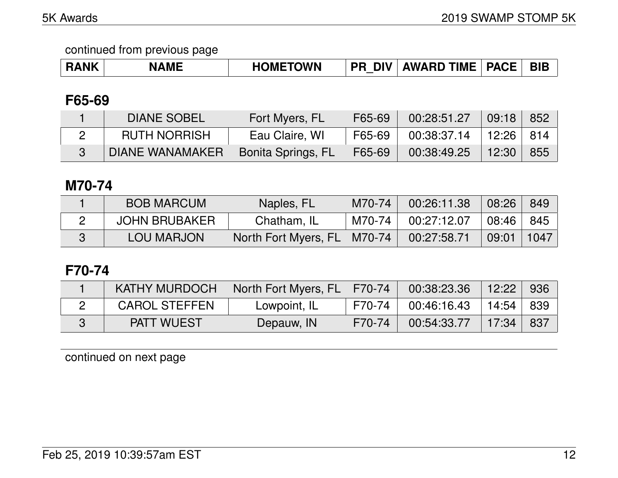### **F65-69**

| <b>DIANE SOBEL</b>     | Fort Myers, FL     | F65-69 | 00:28:51.27               | $\sqrt{09:18}$ | 852 |
|------------------------|--------------------|--------|---------------------------|----------------|-----|
| <b>RUTH NORRISH</b>    | Eau Claire, WI     | F65-69 | 00:38:37.14 ∣12:26 ∣814 ∣ |                |     |
| <b>DIANE WANAMAKER</b> | Bonita Springs, FL | F65-69 | 00:38:49.25               | 12:30'         | 855 |

### **M70-74**

| <b>BOB MARCUM</b>    | Naples, FL                    | M70-74   | 00:26:11.38 | 08:26               | 849                          |
|----------------------|-------------------------------|----------|-------------|---------------------|------------------------------|
| <b>JOHN BRUBAKER</b> | Chatham, IL                   | M70-74 l | 00:27:12.07 | $\vert 08:46 \vert$ | . 845 '                      |
| LOU MARJON           | North Fort Myers, FL   M70-74 |          | 00:27:58.71 | 09:01               | $\parallel$ 1047 $\parallel$ |

# **F70-74**

| <b>KATHY MURDOCH</b> | North Fort Myers, FL   F70-74 |          | 00:38:23.36 | $\vert$ 12:22 | 936 |
|----------------------|-------------------------------|----------|-------------|---------------|-----|
| <b>CAROL STEFFEN</b> | Lowpoint, IL                  | F70-74 I | 00:46:16.43 | 14:54 839     |     |
| <b>PATT WUEST</b>    | Depauw, IN                    | F70-74   | 00:54:33.77 | 17:34         | 837 |